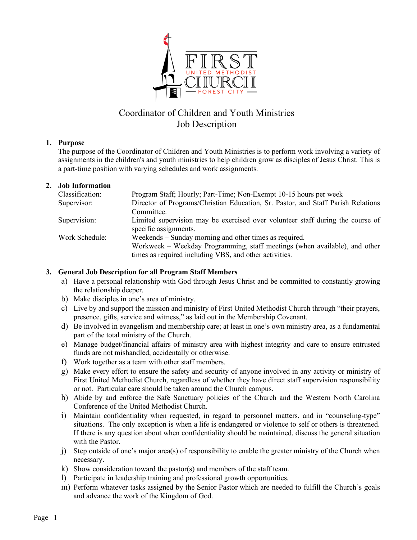

# Coordinator of Children and Youth Ministries Job Description

#### **1. Purpose**

The purpose of the Coordinator of Children and Youth Ministries is to perform work involving a variety of assignments in the children's and youth ministries to help children grow as disciples of Jesus Christ. This is a part-time position with varying schedules and work assignments.

#### **2. Job Information**

| Classification: | Program Staff; Hourly; Part-Time; Non-Exempt 10-15 hours per week                |
|-----------------|----------------------------------------------------------------------------------|
| Supervisor:     | Director of Programs/Christian Education, Sr. Pastor, and Staff Parish Relations |
|                 | Committee.                                                                       |
| Supervision:    | Limited supervision may be exercised over volunteer staff during the course of   |
|                 | specific assignments.                                                            |
| Work Schedule:  | Weekends – Sunday morning and other times as required.                           |
|                 | Workweek – Weekday Programming, staff meetings (when available), and other       |
|                 | times as required including VBS, and other activities.                           |

#### **3. General Job Description for all Program Staff Members**

- a) Have a personal relationship with God through Jesus Christ and be committed to constantly growing the relationship deeper.
- b) Make disciples in one's area of ministry.
- c) Live by and support the mission and ministry of First United Methodist Church through "their prayers, presence, gifts, service and witness," as laid out in the Membership Covenant.
- d) Be involved in evangelism and membership care; at least in one's own ministry area, as a fundamental part of the total ministry of the Church.
- e) Manage budget/financial affairs of ministry area with highest integrity and care to ensure entrusted funds are not mishandled, accidentally or otherwise.
- f) Work together as a team with other staff members.
- g) Make every effort to ensure the safety and security of anyone involved in any activity or ministry of First United Methodist Church, regardless of whether they have direct staff supervision responsibility or not. Particular care should be taken around the Church campus.
- h) Abide by and enforce the Safe Sanctuary policies of the Church and the Western North Carolina Conference of the United Methodist Church.
- i) Maintain confidentiality when requested, in regard to personnel matters, and in "counseling-type" situations. The only exception is when a life is endangered or violence to self or others is threatened. If there is any question about when confidentiality should be maintained, discuss the general situation with the Pastor.
- j) Step outside of one's major area(s) of responsibility to enable the greater ministry of the Church when necessary.
- k) Show consideration toward the pastor(s) and members of the staff team.
- l) Participate in leadership training and professional growth opportunities.
- m) Perform whatever tasks assigned by the Senior Pastor which are needed to fulfill the Church's goals and advance the work of the Kingdom of God.